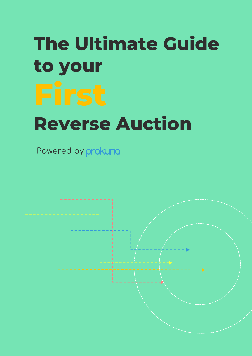# The Ultimate Guide to your Reverse Auction

Powered by prokuria

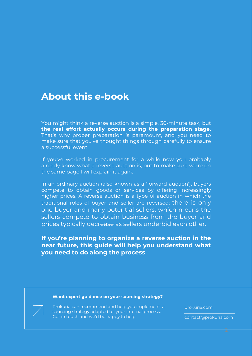### **About this e-book**

You might think a reverse auction is a simple, 30-minute task, but **the real effort actually occurs during the preparation stage.** That's why proper preparation is paramount, and you need to make sure that you've thought things through carefully to ensure a successful event.

If you've worked in procurement for a while now you probably already know what a reverse auction is, but to make sure we're on the same page I will explain it again.

In an ordinary auction (also known as a 'forward auction'), buyers compete to obtain goods or services by offering increasingly higher prices. A reverse auction is a type of auction in which the traditional roles of buyer and seller are reversed: there is only one buyer and many potential sellers, which means the sellers compete to obtain business from the buyer and prices typically decrease as sellers underbid each other.

#### **If you're planning to organize a reverse auction in the near future, this guide will help you understand what you need to do along the process**

#### **Want expert guidance on your sourcing strategy?**

Prokuria can recommend and help you implement a sourcing strategy adapted to your internal process. Get in touch and we'd be happy to help.

prokuria.com

contact@prokuria.com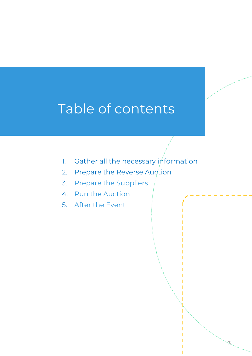# Table of contents

- 1. Gather all the necessary [information](#page-3-0)
- 2. [Prepare](#page-6-0) the Reverse Auction
- 3. Prepare the Suppliers
- 4. Run the Auction
- 5. After the Event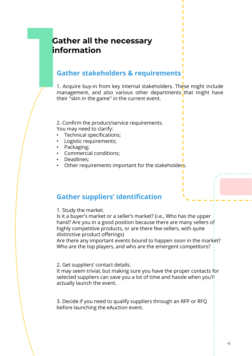### **Gather all the necessary information**

<span id="page-3-0"></span>**11 Gather all the necessary<br>
<b>11 Gather stakeholders & requirements**<br>
11 Acquire buy-in from key internal stakeholders. The management, and also various other departments<br>
their "skin in the game" in the current event. 1. Acquire buy-in from key internal stakeholders. These might include management, and also various other departments that might have their "skin in the game" in the current event.

> 2. Confirm the product/service requirements. You may need to clarify:

- Technical specifications;
- Logistic requirements;
- Packaging;
- Commercial conditions;
- Deadlines;
- Other requirements important for the stakeholders.

#### **Gather suppliers' identification**

1. Study the market.

Is it a buyer's market or a seller's market? (i.e., Who has the upper hand? Are you in a good position because there are many sellers of highly competitive products, or are there few sellers, with quite distinctive product offerings)

Are there any important events bound to happen soon in the market? Who are the top players, and who are the emergent competitors?

2. Get suppliers' contact details.

It may seem trivial, but making sure you have the proper contacts for selected suppliers can save you a lot of time and hassle when you'll actually launch the event.

3. Decide if you need to qualify suppliers through an RFP or RFQ before launching the eAuction event.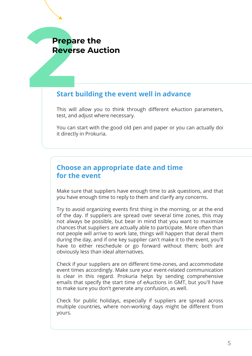# Prepa<br>Rever:<br>Start I **Prepare the Reverse Auction**

#### **Start building the event well in advance**

This will allow you to think through different eAuction parameters, test, and adjust where necessary.

You can start with the good old pen and paper or you can actually doi it directly in Prokuria.

#### **Choose an appropriate date and time for the event**

Make sure that suppliers have enough time to ask questions, and that you have enough time to reply to them and clarify any concerns.

Try to avoid organizing events first thing in the morning, or at the end of the day. If suppliers are spread over several time zones, this may not always be possible, but bear in mind that you want to maximize chances that suppliers are actually able to participate. More often than not people will arrive to work late, things will happen that derail them during the day, and if one key supplier can't make it to the event, you'll have to either reschedule or go forward without them; both are obviously less than ideal alternatives.

Check if your suppliers are on different time-zones, and accommodate event times accordingly. Make sure your event-related communication is clear in this regard. Prokuria helps by sending comprehensive emails that specify the start time of eAuctions in GMT, but you'll have to make sure you don't generate any confusion, as well.

Check for public holidays, especially if suppliers are spread across multiple countries, where non-working days might be different from yours.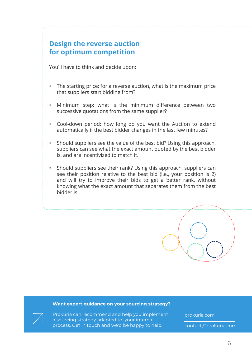#### **Design the reverse auction for optimum competition**

You'll have to think and decide upon:

- The starting price: for a reverse auction, what is the maximum price that suppliers start bidding from?
- Minimum step: what is the minimum difference between two successive quotations from the same supplier?
- Cool-down period: how long do you want the Auction to extend automatically if the best bidder changes in the last few minutes?
- Should suppliers see the value of the best bid? Using this approach, suppliers can see what the exact amount quoted by the best bidder is, and are incentivized to match it.
- Should suppliers see their rank? Using this approach, suppliers can see their position relative to the best bid (i.e., your position is 2) and will try to improve their bids to get a better rank, without knowing what the exact amount that separates them from the best bidder is.



#### **Want expert guidance on your sourcing strategy?**



prokuria.com

contact@prokuria.com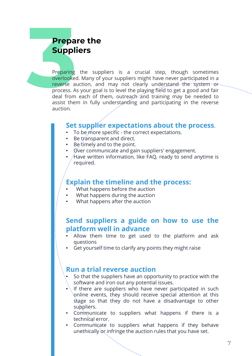### **Prepare the Suppliers**

<span id="page-6-0"></span>**319 Prepare the**<br> **31 Preparing** the suppliers is a crucial step, though sometimes<br>
overlooked. Many of your suppliers might have never participated in a<br>
reverse auction, and may not clearly understand the "system or<br>
pr overlooked. Many of your suppliers might have never participated in a reverse auction, and may not clearly understand the system or process. As your goal is to level the playing field to get a good and fair deal from each of them, outreach and training may be needed to assist them in fully understanding and participating in the reverse auction.

#### **Set supplier expectations about the process**.

- To be more specific the correct expectations.
- Be transparent and direct.
- Be timely and to the point.
- Over communicate and gain suppliers' engagement.
- Have written information, like FAQ, ready to send anytime is required.

#### **Explain the timeline and the process:**

- What happens before the auction
- What happens during the auction
- What happens after the auction

#### **Send suppliers a guide on how to use the platform well in advance**

- Allow them time to get used to the platform and ask questions
- Get yourself time to clarify any points they might raise

#### **Run a trial reverse auction**

- So that the suppliers have an opportunity to practice with the software and iron out any potential issues.
- If there are suppliers who have never participated in such online events, they should receive special attention at this stage so that they do not have a disadvantage to other suppliers.
- Communicate to suppliers what happens if there is a technical error.
- Communicate to suppliers what happens if they behave unethically or infringe the auction rules that you have set.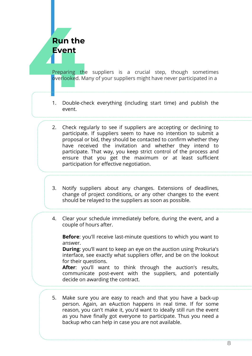# **Run the Event**

**4**<br>**4**Preparing the suppliers is a crucial step, though sometimes<br>overlooked. Many of your suppliers might have never participated in a<br>1. Double-check everything (including start time) and publish the overlooked. Many of your suppliers might have never participated in a

- 1. Double-check everything (including start time) and publish the event.
- 2. Check regularly to see if suppliers are accepting or declining to participate. If suppliers seem to have no intention to submit a proposal or bid, they should be contacted to confirm whether they have received the invitation and whether they intend to participate. That way, you keep strict control of the process and ensure that you get the maximum or at least sufficient participation for effective negotiation.
- 3. Notify suppliers about any changes. Extensions of deadlines, change of project conditions, or any other changes to the event should be relayed to the suppliers as soon as possible.
- 4. Clear your schedule immediately before, during the event, and a couple of hours after.

**Before:** you'll receive last-minute questions to which you want to answer.

**During**: you'll want to keep an eye on the auction using Prokuria's interface, see exactly what suppliers offer, and be on the lookout for their questions.

**After**: you'll want to think through the auction's results, communicate post-event with the suppliers, and potentially decide on awarding the contract.

5. Make sure you are easy to reach and that you have a back-up person. Again, an eAuction happens in real time. If for some reason, you can't make it, you'd want to ideally still run the event as you have finally got everyone to participate. Thus you need a backup who can help in case you are not available.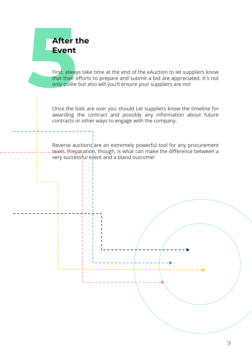## **After the Event**

**56First, always take time at the end of the eAuction to let suppliers know that their efforts to prepare and submit a bid are appreciated. It's not only polite but also will you'll ensure your suppliers are not** that their efforts to prepare and submit a bid are appreciated. It's not only polite but also will you'll ensure your suppliers are not

> Once the bids are over you should Let suppliers know the timeline for awarding the contract and possibly any information about future contracts or other ways to engage with the company.

Reverse auctions, are an extremely powerful tool for any procurement team. Preparation, though, is what can make the difference between a very successful event and a bland outcome!